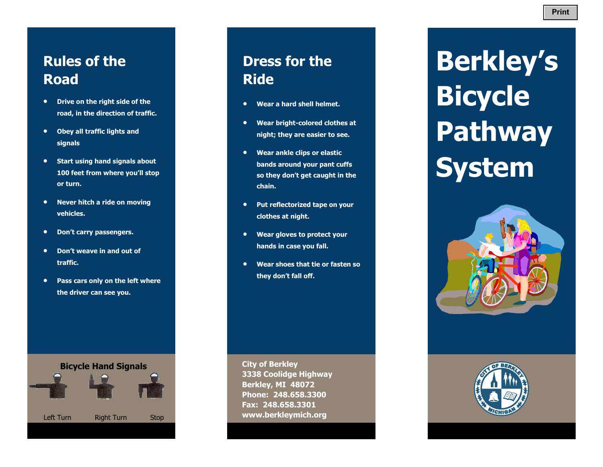- **Drive on the right side of the road, in the direction of traffic.**
- **Obey all traffic lights and signals**
- **Start using hand signals about 100 feet from where you'll stop or turn.**
- **Never hitch a ride on moving vehicles.**
- **Don't carry passengers.**
- **Don't weave in and out of traffic.**
- **Pass cars only on the left where the driver can see you.**

**Bicycle Hand Signals** 



**Dress for the Ride** 

- **Wear a hard shell helmet.**
- **Wear bright-colored clothes at night; they are easier to see.**
- **Wear ankle clips or elastic bands around your pant cuffs so they don't get caught in the chain.**
- **Put reflectorized tape on your clothes at night.**
- **Wear gloves to protect your hands in case you fall.**
- **Wear shoes that tie or fasten so they don't fall off.**

**City of Berkley 3338 Coolidge Highway Berkley, MI 48072 Phone: 248.658.3300 Fax: 248.658.3301 www.berkleymich.org** 

**Berkley's Bicycle Pathway System**